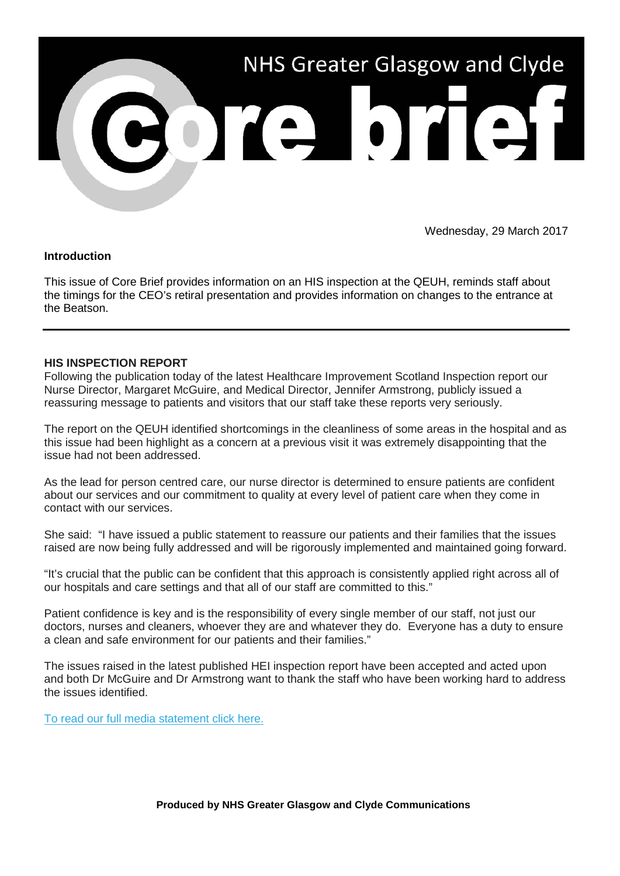

Wednesday, 29 March 2017

# **Introduction**

This issue of Core Brief provides information on an HIS inspection at the QEUH, reminds staff about the timings for the CEO's retiral presentation and provides information on changes to the entrance at the Beatson.

#### **HIS INSPECTION REPORT**

Following the publication today of the latest Healthcare Improvement Scotland Inspection report our Nurse Director, Margaret McGuire, and Medical Director, Jennifer Armstrong, publicly issued a reassuring message to patients and visitors that our staff take these reports very seriously.

The report on the QEUH identified shortcomings in the cleanliness of some areas in the hospital and as this issue had been highlight as a concern at a previous visit it was extremely disappointing that the issue had not been addressed.

As the lead for person centred care, our nurse director is determined to ensure patients are confident about our services and our commitment to quality at every level of patient care when they come in contact with our services.

She said: "I have issued a public statement to reassure our patients and their families that the issues raised are now being fully addressed and will be rigorously implemented and maintained going forward.

"It's crucial that the public can be confident that this approach is consistently applied right across all of our hospitals and care settings and that all of our staff are committed to this."

Patient confidence is key and is the responsibility of every single member of our staff, not just our doctors, nurses and cleaners, whoever they are and whatever they do. Everyone has a duty to ensure a clean and safe environment for our patients and their families."

The issues raised in the latest published HEI inspection report have been accepted and acted upon and both Dr McGuire and Dr Armstrong want to thank the staff who have been working hard to address the issues identified.

[To read our full media statement click here.](http://nhsggc.us12.list-manage1.com/track/click?u=0f385b5aea37eaf0213bd19fb&id=5bd385c4a2&e=5af5e1832c)